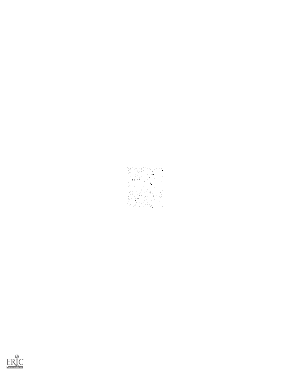

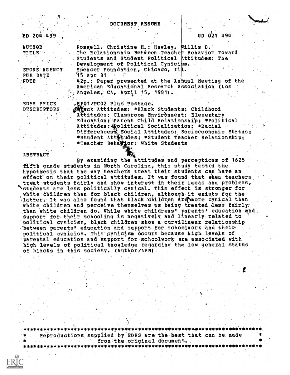DOCUMENT RESUME

| ED 204.439 |  |
|------------|--|
|------------|--|

### UD 021 494

Rossell, Christine H.: Hawley, Willis D. **AUTHOR TITLE** .. The Relationship Between Teacher Behavior Toward Students and Student Political attitudes: The Development of Political Cynicism. Spencer Foundation, Chicago, Ill. SPONS AGENCY 15 Apr 81 PUB DATE 42p.: Paper presented at the Anhual Meeting of the NOTE) American Educational Research Association (Los Angeles, CA, April 15, 1981). MF01/PC02 Plus Postage. EDRS PRICE Biggck Attitudes: \*Black Students: Childhood **DESCRIPTORS** Attitudes: Classroom Environment: Elementary Education: Parent Child Relationship: \*Political Attitudes: Rolitical Socialization; \*Racial Differencest, Social Attitudes: Socioeconomic Status:

\*Teacher Behavior: White Students

\*Student Attrudes: \*Student Teacher Relationship:

#### **ABSTRACT**

By examining the attitudes and perceptions of 1625 fifth grade students in North Carolina, this study tested the hypothesis that the way teachers treat their students can have an effect on their political attitudes. It was found that when teachers, treat students fairly and show interest in their ideas and problems, Students are less politically cynical. This effect is stronger for white children than for black children, although it exists for the latter. It was also found that black children are more cynical than white children and perceive themselves as being treated less fairly: than white children do. While white childrens' parents' education and support for their schooling is negatively and linearly related to political cynicism, black children show a curvilinear relationship between parents' education and support for schoolwork and their political cynicism. This cynicism occurs because high levels of parental education and support for schoolwork are associated with high levels of political knowledge regarding the low general status of blacks in this society. (Author/APM)

\*\*\*\*\*\*\*\*\*\*\*\*\*\*\*\*\*\*\*\*\*\* Peproductions supplied by EDRS are the best that can be made from the original document.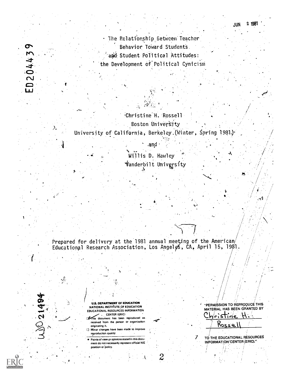The Relationship Between Teacher Behavior Toward Students and Student Political Attitudes: the Development of Political Cynicism

σ

**D2044** 

ய

 $0021494$ 

Christine H. Rossell Boston University University of California, Berkeley (Winter, Spring 1981)

> .and Willis D. Hawley Vanderbilt University

Prepared for delivery at the 1981 annual meeting of the American/<br>Educational Research Association, Los Angeles, CA, April 15, 1981.

**U.S. DEPARTMENT OF EDUCATION NATIONAL INSTITUTE OF EDUCATION EDUCATIONAL RESOURCES INFORMATION CENTER (ERIC)** 

- This document has been reproduced as received from the person or organization originating it.
- 13 Minor changes have been made to improve reproduction quality.

. Points of view or opinions stated in this document do not necessarily represent official NIE position or policy.

"PERMISSION TO REPRODUCE THIS<br>MATERIAL HAS BEEN GRANTED BY dristine

Rosse'

TO THE EDUCATIONAL RESOURCES INFORMATION CENTER (ERIC)."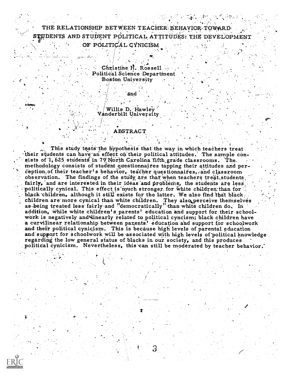THE RELATIONSHIP BETWEEN TEACHER BEHAVIOR TOWARI STUDENTS AND STUDENT POLITICAL ATTITUDES: THE DEVELOPMENT OF POLITICAL GYNICISM

> Christine H. Rossell **Political Science Department Boston University**

#### Willis D. Hawley **Vanderbilt University**

### **ABSTRACT**

This study tests the hypothesis that the way in which teachers treat their students can have an effect on their political attitudes. The sample consists of 1, 625 students in 79 North Carolina fifth grade classrooms. The methodology consists of student questionnaires tapping their attitudes and perception of their teacher's behavior, teacher questionnaires, and classroom observation. The findings of the study are that when teachers treat students. fairly, and are interested in their ideas and problems, the students are less politically cynical. This effect is much stronger for white children than for " black children, although it still exists for the latter. We also find that black. children are more cynical than white children. They also perceive themselves as being treated less fairly and "democratically" than white children do. In addition, while white children's parents' education and support for their schoolwork is negatively and linearly related to political cyncism; black children have a curvilinear relationship between parents' education and support for schoolwork and their political cynicism. This is because high levels of parental education and support for schoolwork will be associated with high levels of political knowledge regarding the low general status of blacks in our society, and this produces. political cynicism. Nevertheless, this can still be moderated by teacher behavior.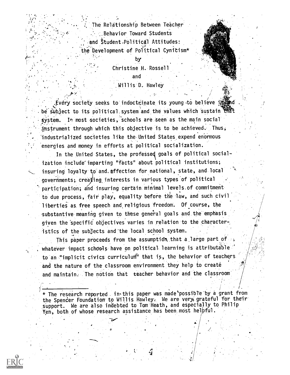The Relationship Between Teacher. .: Behavior Toward Students and Student.Political Attitudes: the Development of Political Cynicism\*

> Christine H. Rossell and Willis D. Hawley

by

Every society seeks to indoctrinate its young to believe in  $\mathcal{N}^{\mathcal{S}}_{\mathcal{S}}$  , where  $\mathcal{N}^{\mathcal{S}}$ be subject to its political system and the values which sustain that system. In most societies, schools are seen as the main social 4nstrument through which this objective is to be achieved. Thus, industrialized societies like the United States expend enormous energies and money in efforts at political socialization.

.

In the United States, the professed goals of political socialization include'imparting "facts" about political institutions; insuring loyalty to and affection for national, state, and local governments; creating interests in various types of political participation; and insuring certain minimal levels of commitment to due process, fair play, equality before the law, and such civil liberties as free speech and religious freedom. Of course, the substantive meaning given to these general goals and the emphasis given the specific objectives varies in relation to the characteristics of the subjects and the local school system. The subst

This paper proceeds from the assumption that a large part of  $\cdots$ whatever impact schools have on political learning is attributable to an "implicit civics curriculum<sup>"</sup> that is, the behavior of teachers and the nature of the classroom environment they help to create and maintain; The notion that teacher behavior and the classroom

\* The research reported in this paper was made possibTe by a grant from the Spender Foundation to Willis Hawley. We are very grateful for their support. We are also indebted to Tom Heath, and especially to Philip Yen, both of whose research assistance has been most helpful.

 $\mathcal{L}$ 

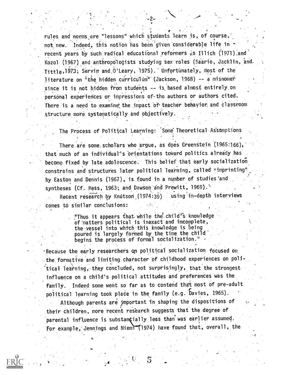$f_{\rm{max}}=3.1$ rules and norms are "lessons" which students learn is, of course,  $\qquad \qquad \qquad$ not new. Indeed, this notion has been given considerable life in recent years by such radical educational reformers as Illich (1971) and Kozol (1967) and anthropologists studying sex roles (Saario, Jacklin, and. Tittle, 1973; Servin and O'Leary, 1975). Unfortunately, most of the literature on "the hidden curriculum" (Jackson, 1968) -- a misnomer since it is not hidden from students -- is based almost entirely on personal experiences or impressions of the authors or authors cited. There is a need to examine the impact of teacher behavior and classroom structure more systematically and objectively.

The Process of Political Learning: Some Theoretical ASsomptions

There are some. scholars who argue, as does Greenstein (1965:166)) that much of an individual's orientations toward politics already has become fixed by late adolescence. This belief that early socialization constrains and structures later political learning, called "imprinting' by Easton and Dennis (1967), is found in a number of studies'and syntheses (Cf. Hess, 1963; and Dawson and Prewitt, 1969).  $\cdot$ Recent research by Knutson (1974:39) using in-depth interviews comes to similar conclusions:

> "Thus it appears that while the child's knowledge of'matters political is inexact and imcomelete, the vessel into which this knowledge is being peured is largely formed by the time the childbegins the process of formal socialization."

.Because the early researchers on political socialization focused on the formative and limiting character of childhood experiences On poli tical learning, they concluded, not surprisingly, that the strongest influence on a child's political attitudes and preferences was the family. Indeed some went so far as to contend that most of pre-adult political learning took place in the family (e.g. Davies, 1965). Although parents are important in shaping the dispositions of their children, more recent research suggests that the degree of parental influence is substantially less than was earlier assumed. For example, Jennings and Niemi (1974) have found that, overall, the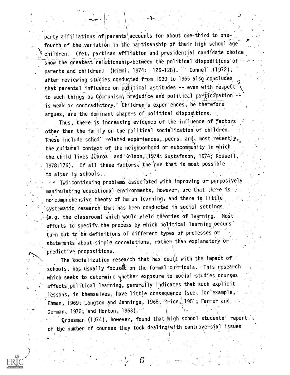party affiliations of parents accounts for about one-third to onefourth of the variation in the partisanship of their high school age children. (Yet, partisan affliation and presidential candidate choice show the greatest relationship between the political dispositions of Connell (1972), parents and children. (Niemi, 1974: 126-128). after reviewing studies conducted from 1930 to 1965 also equaludes that parental influence on political attitudes -- even with respect to such things as Communism, prejudice and political participation is weak or contradictory. Children's experiences, he therefore argues, are the dominant shapers of political dispositions.

Thus, there is increasing evidence of the influence of factors other than the family on the political socialization of children. These include school related experiences, peers, and, most recently, the cultural context of the neighborhood or subcommunity in which the child lives (Jaros and Kolson, 1974; Gustafsson, 1974; Rossell, 1978:176). Of all these factors, the one that is most possible to alter is schools.

- \* Two continuing problems associated with improving or purposively manipulating educational environments, however, are that there is no comprehensive theory of human learning, and there is little systematic research that has been conducted in social settings. (e.g. the classroom) which would yield theories of learning. Most efforts to specify the process by which political learning occurs turn out to be definitions of different types of processes or statements about simple correlations, rather than explanatory or predictive propositions.

The socialization research that has dealt with the impact of schools, has usually focused on the formal curricula. This research which seeks to determine whether exposure to social studies courses affects political learning, gemerally indicates that such explicit lessons, in themselves, have little consequence (see, for example, Ehman, 1969; Langton and Jennings, 1968; Price, 1951; Farmer and German, 1972; and Horton, 1963).

Grossman (1974), however, found that high school students' report of the number of courses they took dealing with controversial issues

6

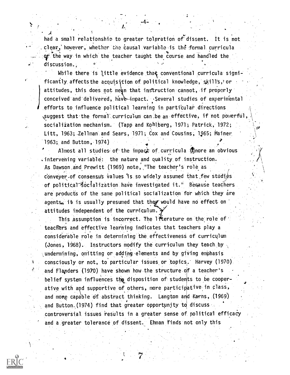had a small relationship to greater toleration of dissent. It is not clear, however, whether the causal variable is the formal curricula of the way in which the teacher taught the course and handled the discussion.

While there is little evidence that conventional curricula significantly affects the acquisition of political knowledge, skills, or attitudes, this does not mean that instruction cannot, if properly conceived and delivered, have impact. Several studies of experimental efforts to influence political learning in particular directions ,suggest that the formal curriculum can be an effective, if not poverful, socialization mechanism. (Tapp and Kohlberg, 1971; Patrick, 1972; Litt, 1963; Zellman and Sears, 1971; Cox and Cousins, 1965; Mainer 1963; and Button, 1974)

Almost all studies of the impact of curricula ignore an obvious intervening variable: the nature and quality of instruction. As Dawson and Prewitt (1969) note, "The teacher's role as conveyer of consensus values is so widely assumed that few studies of political Socialization have investigated it." Because teachers are products of the same political socialization for which they are agents, it is usually presumed that they would have no effect on attitudes independent of the curriculum.

This assumption is incorrect. The literature on the role of teachers and effective learning indicates that teachers play a considerable role in determining the effectiveness of curriculum (Jones, 1968). Instructors modify the curriculum they teach by undermining, omitting or adding elements and by giving emphasis consciously or not, to particular issues or topics. Harvey (1970), and Flanders (1970) have shown how the structure of a teacher's belief system influences the disposition of students to be cooperative with and supportive of others, more participative in class, and more capable of abstract thinking. Langton and Karns, (1969) and Button (1974) find that greater opportunity to discuss controversial issues results in a greater sense of political efficacy and a greater tolerance of dissent. Ehman finds not only this

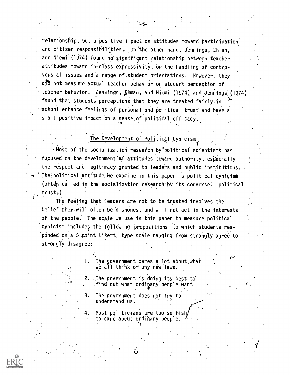relationship, but a positive impact on attitudes toward participation and citizen responsibilities. On the other hand, Jennings, Ehman, and Niemi (1974) found no significant relationship between teacher attitudes toward in-class expressivity, or the handling of controversial issues and a range of- student orientations. However, they did not measure actual teacher behavior or student perception of teacher behavior. Jennings, Ehman, and Niemi (1974) and Jennings (1974) found that students perceptions that they are treated fairly in school enhance feelings of personal and political trust and have a small positive impact on a sense of political efficacy.

### The Development of Political Cynicism

 $\bullet$  , and the set of  $\bullet$ 

Most of the socialization research by political scientists has focused on the development of attitudes toward authority, especially the respect and legitimacy granted to leaders and public institutions. The political attitude we examine in this paper is political cynicism (often called in the socialization research by its converse: political trust.)

The feeling that leaders are not to be trusted involves the belief they will often be 'dishonest and will not act in the interests of the people. The scale we use in this paper to measure political cynicism includes the following propositions to which students responded on a 5 point Likert type scale ranging from strongly agree to strongly disagree:'

- 1. The government cares a lot about what we all think of any new laws.
- . 2. The. government is doing-its best to find out what ordinary people want.
- 3. The government does not try to understand us.
- . Most politicians are too selfish to care about ordihary people.

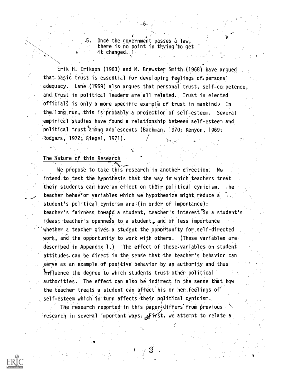.5. Once the goyernment pasSes a law, there is no point in trying 'to get it changed.  $\,$ 

Erik H. Erikson (1963) and M. Brewster Smith (1968) have argued that basic trust is essential for developing feelings of personal adequacy. Lane (1959) also argues that personal trust, self-competence, and trust in political leaders are all related. Trust in elected officials is only a more specific example of trust in mankind. In the long run, this is probably a projection of self-esteem. Several empirical studies have found a relationship between self-esteem and political trust among adolescents (Bachman, 1970; Kenyon, 1969; Rodgers, 1972; Siegel, 1971).

### The Nature of this Research

 $\sum_{i=1}^n$ We propose to take this research in another direction. We intend to test the hypothesis that the way in which teachers treat their students can have an effect on their political cynicism. The teacher behavior variables which we hypothesize might reduce a student's political cynicism are (in order of importance): teacher's fairness toward a student, teacher's interest in a student's ideas; teacher's openness to a student, and of less importance whether a teacher gives a student the opportunity for self-directed work, and the opportunity to work with others. (These variables are described in Appendix 1.) The effect of these.variables on student attitudes can be direct in the sense that the teacher's behavior can serve as an example of positive behavior by an authority and thus **influence the degree to which students trust other political** authorities. The effect can also be indirect in the sense that how the teacher treats a student can affect his or her feelings of . . self-esteem which in-turn affects their political cynicism.

The research reported in this paper, differs from previous research in several important ways.  $F$ irst, we attempt to relate a

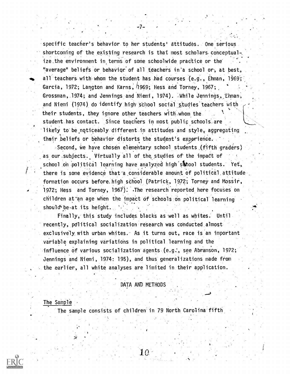specific teacher's behavidr to her students' attitudes. One serious shortcoming of the existing research is that most scholars.conceptual. ize.the environment in, terms of some schoolwide practice or the "average" beliefs or behavior of all teachers in'a school or, at best, all teachers with whom the student has had courses (e.g., Ehman, 1969; Garcia, 1972; Langton and Karns,  $/1969$ ; Hess and Torney, 1967; Grossman, 1974; and Jennings and Niemi, 1974). -While Jennings,, Ehman, and Niemi (1974) do identify high sehool social studies teachers with their students, they ignore other teachers with.whom the student has contact. Since teachers in most public schools. are likely to be noticeably different in attitudes and style, aggregating their beliefs or behavior distorts the student's experience.

\_7\_

Second, We have chosen elementary school students.(fifth graders) as our subjects. Virtually all of the studies of the impact of school on 'political learning have analyzed high'sAhool students. Yet, there is some evidence that a considerable amount of political attitude. formation occurs before, high school (Patrick, 1972; Torney and Mossir, 1972; Hess and Torney, 1967). The research reported here focuses on children at an age when the impact of schools on political learning should be-at its height.

Finally, this study includes blacks as 'well as whites. Until recently, political socialization research was conducted almost exclusively with urban whites.' As it turns out, race is an important variable explaining variations in political learning and the influence of various socialization agents (e.g:, see Abramson, 1972; Jennings and Niemi, 1974: 195), and thus generalizations made from the earlier, all white analyses are limited in their application.

DATA AND METHODS

The Sample

The sample consists of children in 79 North Carolina fifth

1 Q

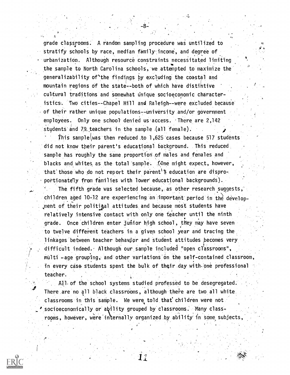grade classrooms. A random sampling procedure was untilized to stratify schools by race, median family income, and degree of urbanization. Although resource constraints necessitated limiting the sample to North Carolina schools, we attempted to maximize the  $\sim$   $\sim$ generalizability of'the findings by excluding the coastal and mountain regions of the state--both of which have distintive cultural traditions and somewhat unique socioeconomic characteristics. Two cities--Chapel Hill and Raleigh--were excluded because of their rather unique populations--university and/or government employees. Only one school denied us access. There are 2,142 students and 79 teachers in the sample (all female).

This sample was then reduced to 1,625 cases because 517 students did not know their parent's educational background. This reduced, sample has roughly the same proportion of males and females and blacks and whites as the total sample. (One might expect, however, that those who do not report their parent's education are disproportionately from families with lower educational backgrounds).

The fifth grade was selected because, as other research suggests, children aged 10-12 are experiencing an important period in the development of their politigal attitudes and because most students have relatively intensive contact with only one teacher until the ninth grade. Once children enter junior high school, they may have seven . . to twelve different teachers in a given school year and tracing the. linkages between teacher behavior and student attitudes becomes very difficult indeed. Although our sample included "open classrooms", multi -age grouping, and other variations on the self-contained classroom, in every case students spent the bulk of their day with one professional teacher.

All of the school systems studied professed to be desegregated. There are no all black classrooms, although there are two all white. classrooms in this sample. We were told that' children were not socioeconomically or ability grouped by classrooms. Many class-, where  $\mathbf{A}$  is a simple set of  $\mathbf{A}$ rooms, however, were internally organized by ability' in some subjects,

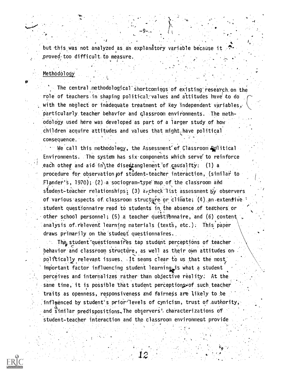but this was not analyzed as an explanatory variable because it ,proved. too difficult:to MeaSure.

-4

-

### Methodology

The central methodological shortcomings of existing research on the role of teachers in shaping political values and attitudes have to do with the neglect or inadequate treatment of key independent variables, particularly teacher behavior and classroom environments. The methodology used here was developed as part of a larger study of how children acquire attitudes and values that might, have political consequence.

We call this methodology, the Assessment of Classroom aplitical Environments. The system has six components which serve'to reinforce each other and aid in\the disentanglement of causality: (l) a procedure for observation of student-teacher interaction, (similar to Flander's,  $1970$ ); (2) a sociogram-type map of the classroom and student-teacher relationships; (3) a, check list assessment by observers of various aspects of classroom structure or climate; (4) an extensive student questionnaire read to students in the absence.of teachers or other school personnel; (5) a teacher questionnaire, and (6) content analysis of relevent learning materials (texts, etc.). This paper draws primarily on the'studept questionnaires.

The student questionnaires tap student perceptions of teacher  $\setminus$ behavior and classroom structure, as well as their own attitudes onpolitically relevant issues. It seems clear to us that the most, important factor influencing student learning is what a student perceives and internalizes rather than objective reality: At the same time, it is possible that student perceptions of such teacher traits as openness, responsiveness and fairness are likely to be influenced by student's prior-levels of cynicism, trust of authority, and similar predispositions. The observers' characterizations of student-teacher interaction and the classroom environment provide

. ,

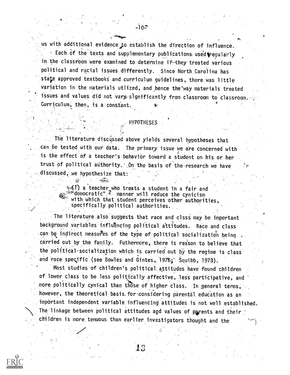us with additional evidence to establish the direction of influence. Each of the texts and supplementary publications used regularly in the classroom were examined to determine if they treated various political and racial issues differently. Since North Caro1ina has state approved textbooks and curriculum guidelines, there was little variation in the materials utlized, and hence the way materials treated issues and values did not vary significantly from classroom to classroom. Curriculum; then, is a constant.

 $-10 -$ 

### **HYPOTHESES**

The literature discussed above yields several hypotheses that can be tested with our data. The primary issue we are concerned with is the effect of a teacher's behavior toward a student on his or her trust of political authority. On the basis of the research we have discussed, we hypothesize that:

 $1$ ,  $\sim$   $1$ 

tijez.

41) a teacher who treats a student in a fair and ,:z.''°democratic" 2 manner will reduce the cynicism with which that student perceives other authorities, specifically political authorities.

The literature also suggests that race and clsss may be important background variables influencing political attitudes. Race and class can be indirect measures of the type of political socialization being carried out by the family. Futhermore, there is reason to believe that the political socialization which is carried out by the regime is class and race specific (see Bowles and Gintes, 1976; Squibb, 1973).

Most studies of children's political attitudes have found children of lower class to be less politically affective, less participative, and more politically cynical than those of higher class. In general terms, however, the theoretical basis for considering parental education as an impOrtant independent variable influencing attitudes is not well established. The linkage between political attitudes and values of parents and their children is more tenuous than earlier investigators thought and the

 $1\beta$ 

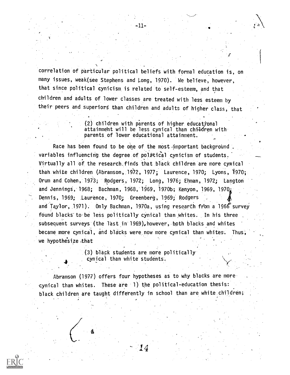correlation of particular political beliefs with formal education is, on many issues, weak(see Stephens and Long, 1970). We believe, however, that since political cynicism is related to self-esteem, and that children and adults of lower classes are treated with less esteem by their peers and superiors than children and adults of higher class, that

-11-

(2) children with parents of higher educational attainment will be less cynical than children with parents of lower educational attainment.

Race has been found to be one of the most important background variables influencing the degree of political cynicism of students. Virtually all of the research.finds that black children are more cynical thah white children (Abramson, 1972, 1977; Laurence, 1970; Lyons, 1970; Orum and Cohen, 1973; Rodgers, 1972; Long, 1976; Ehman, 1972; Langton and Jennings, 1968; Bachman, 1968, 1969, 1970b; Kenyon, 1969, 1970; Dennis, 1969; Laurence, 1970; Greenberg, 1969; Rodgers and Taylor, 1971). Only Bachman, 1970a, using research from a 1966 survey found blacks to be less politically cynical than whites. In his three subsequent surveys (the last in 1969), however, both blacks and whites became more cynical, and blacks were now more cynical than whites. Thus, we hypothesize that

> (3) black students are more politicallycynical than white students..

Abramson (1977) offers four hypotheses as to why blacks are more cynical than whites. These are 1) the political-education thesis: black children are taught differently in school than are white children;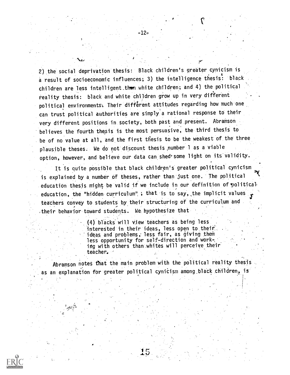2) the social deprivation thesis: Black children's greater cynicism is a result of socioeconomic influences; 3) the intelligence thesis': black children are less intelligent than white children; and 4) the political reality thesis: black and white children grow up in very different political environments. Their different attitudes regarding how much one can trust political authorities are simply a rational response to their very different positions in society, both past and present. Abramson believes the fourth thesis is the most persuasive, the third thesis to be of no value at all, and the first thesis to be the weakest of the' three plausible theses. We do not discount thesis number 1 as a viable option, however, and believe our data can shed some light on its validity.

**A** *A A A* 

-12,

It is quite possible that black children's greater political cynicism is explained by a number of theses, rather than just one. The political education thesis might be valid if we include in our definition of political education, the "hidden curriculum" ; that is to say, the implicit values teachers convey to students by their structuring of the curriculum and their behavior toward students. We hypothesize that

> (4) blacks will View teachers as being less interested in their ideas, less open to their  $\epsilon$ ideas and problems, less fair, as giving them less opportunity for self-direction and work-, ing with others than whites will perceive their' teacher.

Abramson notes that the main problem with the political reality thesis as an explanation for greater political cynicism among, black children, is

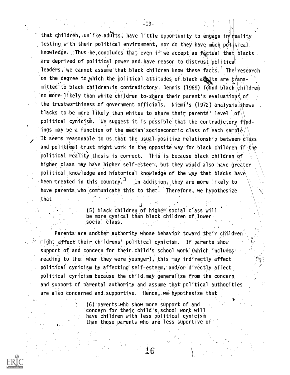that children, unlike adults, have little opportunity to engage in reality testing with their political environment, nor do they have much political knowledge. Thus he concludes that even if we accept as factual that blacks are deprived of political power and have reason to distrust political leaders, we cannot assume that black children know these facts. The research on the degree to which the political attitudes of black a  $u$  is are thansmitted to black childrencis contradictory. Dennis (1969) found black children no more likely than white children to share their parent's evaluations of the trustworthiness of government officials. Niemi's (1972) analysis shows blacks to be more likely than whites to share their parents' level of political cynicism. We suggest it is possible that the contradictory findings may be a function of the median socioeconomic class of each sample. It seems reasonable to us that the usual positive relationship between class and political trust might work in the opposite way for black children if the political reality thesis is correct. This is because black children of higher class may have higher self-esteem, but they would also have greater political knowledge and historical knowledge of the way that blacks have been treated in this country.<sup>3</sup>  $3 \sim 3$ In addition, they are more likely to  $\qquad \backslash \qquad ,$ have parents who communicate this to them. Therefore, we hypothesize that

> (5) black children of higher social class will be more cynical than black children of lower social class.

Parents are another authority whose behavior toward their children might affect their childrens' political cynicism.. If parents show support of and concern for their child's school work (which includes) reading to them when they were younger), this may indirectly affect political cynicism by affecting self-esteem, and/or directly affect political cynicism because the child may generalize from the concern and support of parental authority and assume that political authorities are also concerned and supportive. Hence, we hypothesize that

> (6) parents\_mho show more support of and concern for their child's,school work will have children with less political cynicism than those parents who are less suportive of

> > 16



 $-13-$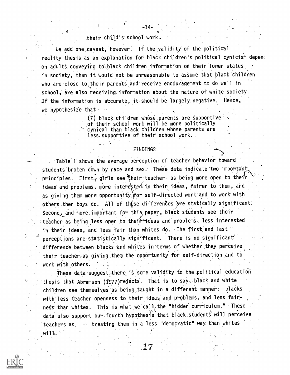### their child's school work.

We add one caveat, however. If the validity of the political reality thesis as an explanation for black children's political cynicism depem on adults conveying to black children information on their lower status, and in society, than it would not be unreasonable to assume that black children who are close to,their parents and receive encouragement to do well in school, are also receiving, information about the nature of white society. if the information is accurate, it should be largely negative. Hence, we hypothesize that  $\cdot$ 

-14-

(7) black childrea whose parents are supportive of their school work will be more politically cynical than black children whose parents are Less. supportive of their school work.

,  $\sim$   $\sim$   $\sim$   $\sim$   $\sim$ 

### FINDINGS

Table 1 shows the average perception of teacher behavior toward students broken down by race and sex. These data indicate two important principles. First, girls see their teacher as being more open to their ideas and problems, more interested in their ideas, fairer to them, and as giving them more opportunity for self-directed work and to work with others then boys do. All of these differences are statically significant. Second, and more important for this paper, black students see their teacher as being less open to their ideas and problems, less interested in their ideas, and less fair than whites do. The first and last perceptions are statistically Significant. There is no significant' difference between blacks and whites in'terms of whether they perceive, their teacher. as giving them the opportunity for self-direction and to work with others.

These data, suggest there is some validity to the political education thesis that Abramson (1977)rejects. That is to say, black and white children see themselves'as being taught in a different manner: blacks with'less teacher openness to their ideas and problems, and less fairness than whites. This is what we call the "hidden curriculum." These data also support our fourth hypothesis that black students will perceive teachers as, treating them in a less "democratic" way than whites will. a

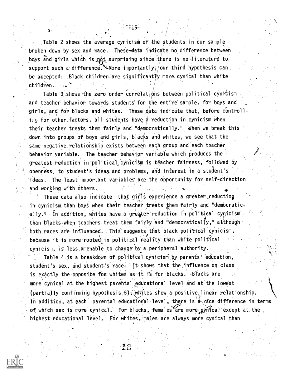Table 2 shows the average cynicism of the students in our sample broken down by sex and race. These-data indicate no difference between boys and girls which is not surprising since there is no literature to support such a difference. More importantly, our third hypothesis can. be accepted: Black children are significantly more cynical than white children.

Table 3 shows the zero order correlations between political cynicism and teacher behavior towards students' for the entire sample, for boys and girls, and for blacks and whites. These data indicate that, before Controll ing for other factors, all students have a reduction in cynicism when their teacher treats them fairly and "democratically." When we break this down into groups of boys and girls, blacks and whites, we see that the same negative relationship exists between each group and each teacher behavior variable. The teacher behavior variable which produces the greatest reduction in political cynicism is teacher fairness, followed by openness, to student's ideas and problems, and interest in a student's ideas. The least important variables are the opportunity for self-direction and working with others.

These data also indicate that girls experience a greater reduction in cynicism than boys when their teacher treats them fairly and "democratically." In addition, whites have a greater reduction in political cynicism than blacks when teachers treat them fairly and "democratically," although both races are influenced. .This suggests that black political cynicism, because it is more rooted in political reality than white political cynicism, is less amenable to change by a peripheral authority.

Table 4 is a breakdown of political cynicisri by parents' education, student's sex, and student's race. It shows that the influence on class is exactly the opposite for whites as it is for blacks. Blacks are more cynical at the highest parental educational level and at the lowest (partially confirming hypothesis 5); whites show a positive linear relationship. In addition, at each parental educational level, there is  $\hat{\mathbb{a}}$  race difference in terms, of which sex is more cynical. For blacks, females are more gynical except at the highest educational level. For whites, males are always more cynical than

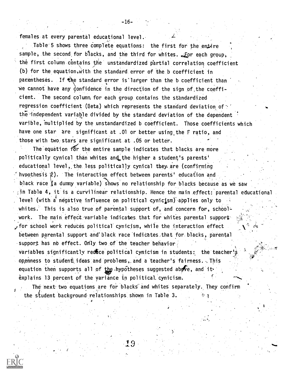females at every parental educational level.

Table 5 shows three complete equations: the first for the entire  $\qquad ,$ . sample, the second for blacks, and the third for whites.  $\mathcal{L}$  for each group, the first column contains the unstandardized partial correlation coefficient (b) for the equation, with the standard error of the b coefficient in parentheses. If the standard error is'larger than the b coefficient than we cannot have any  $\phi$ onfidence in the direction of the sign of the coefficient. The second column, for each group contains the standardized regression coefficient (Beta) which represents the standard deviation of  $\cdot$  ' the independent variable divided by the standard deviation of the dependent ' varible, multiplied by the unstandardized b coefficient. Those coefficients which have one star are significant at .01 or better using the F ratio, and those with two stars are significant at .05 or better.

The equation for the entire sample indicates that blacks are more politically cynical than whites and the higher a student's parents' , educational level,, the. less politically cynical they. are (confirming hypothesis  $\hat{z}$ ). The interaction effect between parents' education and black race  $\chi$  a dummy variable) shows no relationship for blacks because as we saw in Table 4, it is a curvilinear relationship. Hence the main.effect: parental educational level (with a negative influence on political cynicism) applies only to  $\mathbb{R}^2$ whites. This is also true of parental support of, and concern for, school work. The main effect variable indicates that for whites parental support  $\mathbb{R}^{\mathbb{C}\times\mathbb{C}}$ for school work reduces political cynicism, while the interaction effect between parental support and'black race 'indicates that for blacks, parental support has no effect. Only two of the teacher behavior variables significantly reduce political cynicism in students: the teacher's openness to student ideas and problems, and a teacher's fairness. This

equation then supports all of the hypotheses suggested above, and it explains 13 percent of the variance in political cynicism.

The next two equations are for blacks and whites separately. They confirm the student background relationships shown in Table 3.

19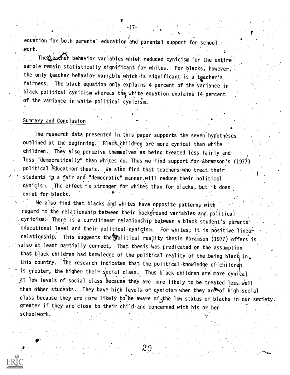equation for both parental education and paren and parental support for school and  $\sim$ work.

-17-

The teacher behavior variables which-reduced cynicism for the entire sample remain statistically significant for whites. For blacks, however, the only teacher behavior variable which-is significant is a tgacher's fairness. The black equation only explains 4 percent of the variance in black political cynicism whereas the white equation explains 14 percent ) of the variance in white political cynicism.

### Summary and Conclusion

The research data presented in this paper supports the seven hypotheses outlined at the beginning. Black children are more cynical than white children. They also perceive themselves as being treated less fairly and less "democratically" than whites do. Thus we find support for Abramson's (1977) political education thesis. We also find that teachers who treat their students in a fair and "democratic" manner will reduce their political cynicism. The effect is stronger for whites than for blacks, but it does exist for blacks.

We also find that blacks and whites have opposite patterns with regard to the relationship between their background variables and political  $\sim$  cynicism. There is a curvilinear relationship between a black student's parents' educational level and their political cynicism. For whites, it is positive linear  $-$ relationship. This suggests the  $\frac{1}{2}$ olitical rea)ity thesis Abramson (1977) offers is halso at least partially correct. That thesis was predicated on the assumption that black children had knowledge of the political reality of the being black in. this country. The research indicates that the political knowledge of children is greater, the higher their social class. Thus black children are more cynical at low levels of social class because they are more likely to be treated less well than other students. They have high levels of cynicism when they are of high social class because they are more likely to be aware of the low status of blacks in our society. greater if they are close to their child and concerned with his or her schoolwork. The contraction of  $\mathcal{L}$  is the contraction of  $\mathcal{L}$ 

 $20\,$ 

4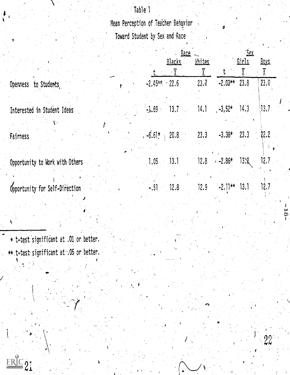# Table 1

Mean Perception of Teacher Behavior

Toward Student by Sex and Race

|                                 | <b>Race</b>                       | <u>`Sex</u> |                                |               |             |
|---------------------------------|-----------------------------------|-------------|--------------------------------|---------------|-------------|
|                                 | <b>Blacks</b>                     | Whites      |                                | <u> Girls</u> | <u>Boys</u> |
|                                 |                                   |             |                                |               |             |
| Openness to Students            | $-2.45***$ 22.6                   | 23.7        | $-2.03**$ 23.8                 |               | 23.0        |
|                                 |                                   |             |                                |               |             |
| Interested in Student Ideas     | $-1.69 - 13.7 = 14.1 - 3.52$ 14.3 |             |                                |               | 13.7        |
|                                 |                                   |             |                                |               |             |
| Fairness                        | $-6.61*$ 20.8 23.3 $-3.38*$ 23.3  |             |                                |               | 22.2        |
|                                 |                                   |             |                                |               |             |
| Opportunity to Work with Others | 13.1<br>1.05                      |             | $12.8 - 2.86* 13.8$            |               | 12.7        |
| Opportunity for Self-Direction  | 12.8<br>$-0.51$                   |             | $12.9$ $-2.11**$ $13.1$ $12.7$ |               |             |

 $-35-$ 

\* t-test significant at .01 or better. \*\* t-test significant at .05 or better.



 $\mathbf{r}$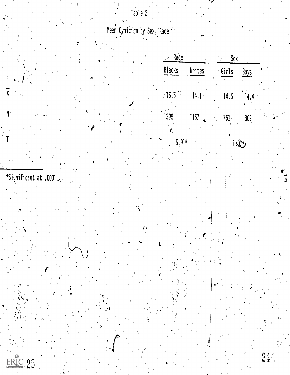## Table 2 , , Mean Cynicism by Sex, Race

TO

 $25 - 9 -$ 

 $24$ 





A

 $\sqrt{x}$ 

 $\mathbb{R}^3$ 

T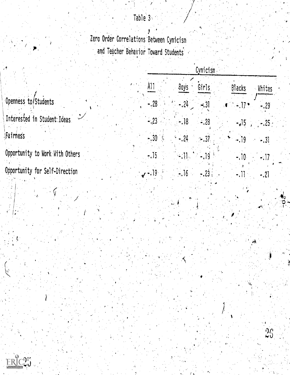# Table 3

Zero Order Correlations Between Cynicism and Teacher Behavior Toward Students

|                                 | Cynicism                                                             |  |  |  |  |  |  |
|---------------------------------|----------------------------------------------------------------------|--|--|--|--|--|--|
|                                 | A11<br>Boys<br>Girls<br>Blacks<br><b>Whites</b>                      |  |  |  |  |  |  |
| Openness to/Students            | $-.28$ $-.24$ $-.31$<br>$\bullet$ $-17$ .<br>$-.29$                  |  |  |  |  |  |  |
| Interested in Student Ideas     | $-.23 -$<br>$-18 - 28$<br>$-15$ , $-25$                              |  |  |  |  |  |  |
| Fairness                        | $-.30.6$<br>$\cdot$ -.24 - .37<br>$-19$<br>$-31$                     |  |  |  |  |  |  |
| Opportunity to Work With Others | $[-11.74, 19.5]$<br>$-.15$<br>$-10$ $-17$                            |  |  |  |  |  |  |
| Opportunity for Self-Direction  | $\sim$ -719 $^{-1}$ .<br>$-16$<br>$-.23$<br>$\sim 10^{11}$<br>$-.21$ |  |  |  |  |  |  |

 $25$ 

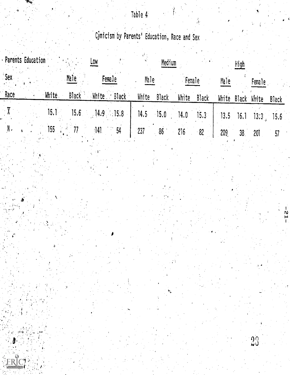# Table 4'

# Cynicism by Parents' Education, Race and Sex

11 - Jan Jawa

 $23$ 

 $-12-$ 

| Parents Education                          | Low                                                                           |                                         | Medium |        |          |      | High       |        |  |
|--------------------------------------------|-------------------------------------------------------------------------------|-----------------------------------------|--------|--------|----------|------|------------|--------|--|
| $^2$ Sex $^{-1}$<br>Male                   | Female                                                                        | Male                                    |        | Female |          | Male |            | Female |  |
| Race                                       | White Black White Black White Black White Black White Black White Black White |                                         |        |        |          |      |            |        |  |
| $\sim \overline{\mathbf{Y}}$ .<br>$15.1 -$ | $15.6$ $14.9$ $15.8$ $1$                                                      | 14.5 15.0 14.0 15.3 13.5 16.1 13:3 15.6 |        |        |          |      |            |        |  |
| $-155$ , $-77$<br>$\mathbb{N}$ .           | $141$ 54                                                                      | $\frac{1}{237}$ 86                      |        |        | $216$ 82 | 209  | $\sim$ 38. | - 201  |  |

ERICI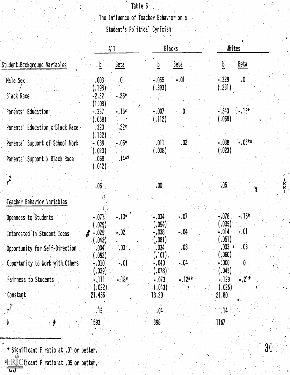# Table 5. The Influence of Teacher Behavior on a

Student's Political Cynicism

|                                  |                              | AII             |                                          | Blacks              |                    | Whites   |  |
|----------------------------------|------------------------------|-----------------|------------------------------------------|---------------------|--------------------|----------|--|
| Student Background Variables     | D,                           | <b>Beta</b>     | D                                        | <b>Beta</b>         | $\overline{p}$     | Beta     |  |
| Male Sex.                        | .003<br>(.198)               | .0              | $-.055$<br>(.393)                        | $-.01$              | $-.329$<br>(.231)  | .0.      |  |
| <b>Black Race</b>                | $-2.32$<br>(1.08)            | $-.26*$         |                                          |                     |                    |          |  |
| Parénts' Education               | $-.337$<br>(.068)            | $-.15*$         | $-.007$<br>(.112)                        | $\langle 0 \rangle$ | $-.343$<br>(.068)  | $-15*$   |  |
| Parents' Education x Black Race. | .323<br>(.132)               | $.22*$          |                                          |                     |                    |          |  |
| Parental Support of School Work  | -.039<br>(.023)              | $-.05*$         | .011<br>(.038)                           | .02                 | $-.038$<br>(.023)  | $-.05**$ |  |
| Parental Support x Black Race    | .058<br>(.042)               | $.14**$         |                                          |                     |                    |          |  |
| $r^2$                            | .06 <sub>1</sub>             |                 | .00                                      |                     | .05                |          |  |
| Teacher Behavior Variables       |                              |                 |                                          |                     |                    |          |  |
| Openness to Students             | $-.071$<br>(.029)            | $-13*$          | $-.034$<br>(.054)                        | $-.07$              | $-.078.$<br>(.035) | $-.15*$  |  |
| Interested in Student Ideas      | $-.025'$<br>$\langle$ (.043) | $-0.02$         | $-.038$<br>(.081)                        | - 04                | $-.014$<br>(.051)  | $-.01$   |  |
| Opportunity for Self-Direction   | .034<br>(.052)               | 03 <sup>1</sup> | .034<br>$(.101)_{\scriptscriptstyle{I}}$ | .03                 | ,033 ∗.<br>(.060)  | .03      |  |
| Opportunity to Work with Others  | $-.010$<br>(.039)            | $-.01$          | $-.040$<br>(.078)                        | -.04                | $-:000$<br>(.045)  | 0        |  |
| Fairness to Students             | - 111<br>(.022)              | $-18*$          | $-.073$<br>(.043)                        | $-12**$             | $-129$<br>(.026)   | $-.21*$  |  |
| Constant                         | 21.456                       |                 | 18.20 <sub>1</sub>                       |                     | 21.80              |          |  |
| $r^2$                            | $\frac{13}{2}$               |                 | .04                                      |                     | , 14               |          |  |
| $\mathbb{N}$ .                   | 1593 <sup>.</sup>            |                 | 398                                      |                     | 1167               |          |  |

\* Significant F ratio at .01 or better,  $T$  significant  $T$  ratio at .05 or. better,  $T$  $\overline{\mathbf{u}}$  , and  $\overline{\mathbf{v}}$  , and  $\overline{\mathbf{v}}$ 

 $\mathcal{L}^{\text{max}}_{\text{max}}$ 

 $-22-$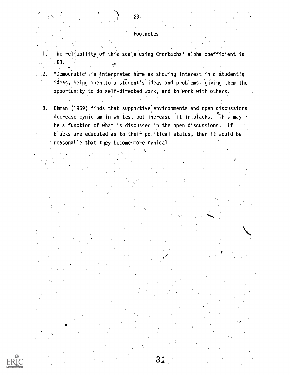### Footnotes

-23-

- 1. The reliability of this scale using Cronbachs' alpha coefficient is .53.
- 2. "Democratic" is interpreted here as showing interest in a student's ideas; being open,to a student's ideas and problems, giving them the opportunity to do self-directed work, and to work with others.
- 3. Ehman (1969) finds that suppartive environments and open discussions decrease cynicism in whites, but increase it in blacks. This may be a fuhction of what is discussed in the open discussions. If blacks are educated as to their political status, then it would be reasonable that they become more cynical.

 $31$ 

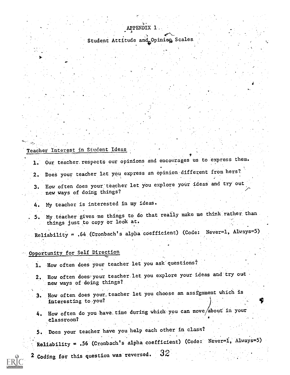## APPENDIX 1.

Student Attitude and Opinic Scales

## Teacher Interest in Student Ideas

1. Our teacher. respects our opinions and encourages us to express them.

""

- 2. Does your teacher let you express an opinion different from hers?
- 3. How often does your teacher let you explore your ideas and try out new ways of doing things?
	- 4. My teacher is interested in my ideas.
	- 5. My teacher gives me things to do that really make me think rather than. things just to copy or look at.

Reliability = .64 (Cronbach's alpha coefficient) (Code: Never=1, Always=5)

### Opportunity for Self Direction

- 1. How often does your teacher let you ask questions?
- 2. How often does your teacher let you explore your ideas and try out new ways of doing things?
- 3. How often does your teacher let you choose an assignment which is interesting to .you?
- How often do you have time during which you can move about in your classroom?
- 5. Does your teacher have you help each other in class?

Reliability = .56 (Cronbach's alpha coefficient) (Code: Never=1, Always=5)

2.Coding for this question was' reversed.32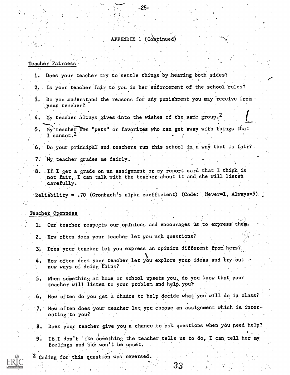### APPENDIX 1 (Continued)

-25-

### Teacher Fairness

- 1. Does your teacher try to settle things by hearing both sides?
- 2. Is your teacher fair to you in her enforcement of the school rules?
- 3. Do you understand the reasons for any punishment you may receive from your teacher?
- 4. My teacher always gives into the wishes of the same group.<sup>2</sup>
- 5. My teacher has "pets" or favorites who can get away with things that I cannot.<sup>2</sup>
- 6. Do your principal and teachers run this school in a way that is fair?
- 7. My teacher grades me fairly.
- 8. If I get a grade on an assignment or my report card that I think is not fair, I can talk with the teacher about it and she will listen .carefully.

Reliability = .70 (Cronbach's alpha coefficient) (Code: Never=1, Always=5)

### Teacher Openness

- I; Our teacher respects our opinions and encourages us to express them'.
- 2. How often does your teacher let you ask questions?.
- 3; Does your teacher let you express an opinion different from hers?
- 4. Row often does your teacher let You explore your ideas and try out new ways of doing thins?
- 5. When something at home or school upsets you, do you know that your teacher will listen to your problem and help, you?
- 6. How often do you get a chance to help decide what you will do in class?
- 7.' How often does your teacher let you choose an assignment which is interesting to you?

8. Does your teacher give you a chance to ask questions when you need help?

9. If I don't like something the teacher tells us to do, I can tell her my feelings and she won't be upset.

33

<sup>2</sup> Coding for this question was reversed.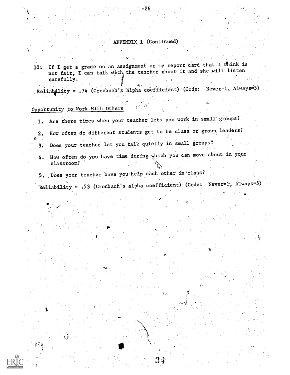### APPENDIX 1 (Continued)

10. If I get a grade on an assignment or my report card that I think is not fair, I can talk with, the teacher about it and she will listen Carefully.

= .74 (Cronbach's alpha coefficient) (Code: Never=1, Always=5)

## Opportunity to Work With Others

e .

 $\sim$ 

- 1. Are there times when your teacher lets you work in small groups?
- 2. HoW often do different students get to be class or group leaders?
- $\alpha$  is a set of  $\alpha$ 3. Does your teacher let you talk quietly in small groups?
	- 4. How often do you have time during which you can move about in your classroom?
	- 5. Does your teacher have you help each other in class?
	- $Reliability = .53$  (Cronbach's alpha coefficient) (Code: Never=1, Always=5)

34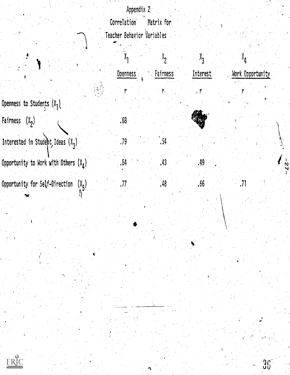Appendix 2 Correlation Matrix for. Teacher Behavior Variables

 $\lambda_4$ 

 $.71$ 

.49

 $,66$ 

 $.48$ 

Work Opportunity

 $\frac{1}{2}$ 

 $36<sup>°</sup>$ 

|                                     | Openness <b>According Services</b> | Interest |
|-------------------------------------|------------------------------------|----------|
|                                     |                                    |          |
| Openness to Students $(X_1)$        |                                    |          |
| Fairness $(X_2)$                    | .68.                               |          |
| Interested in Student Ideas $(X_3)$ | 79                                 |          |

 $.77$ 

Opportunity to Work with Others  $(x_4)$ .43 Opportunity for Self-Direction  $(X_5)$ 

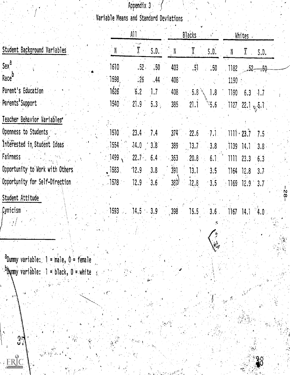# Appendix  $3 \leq 3$ Variable Means and Standard Deviations

|                                  |                                                        | A11                                  |              | <b>Blacks</b>        | Whites                      |  |
|----------------------------------|--------------------------------------------------------|--------------------------------------|--------------|----------------------|-----------------------------|--|
| Student Background Variables     | N                                                      | $\overline{\chi}$ .<br>S.D.          | $\mathbb{N}$ | $\bar{\chi}$<br>S.D. | $\bar{\chi}$<br>N<br>S.D.   |  |
| Sex <sup>a</sup>                 | 1610                                                   | .52 <sub>1</sub><br>.50 <sub>1</sub> | 403          | .51<br>.50           | .1182<br>. 52-<br>$\div$    |  |
| Race <sup>D</sup>                | 1598.                                                  | .26<br>.44                           | 408.         |                      | 1190                        |  |
| Parent's Education               | 1626                                                   | 6.2<br>$\ddot{ }$ 1.7                | 408          | $-5.8$ $\sim$<br>1.8 | 1190<br>$6.3 - 1.7$         |  |
| Parents' Support                 | 1540                                                   | 21.9<br>5.3 <sub>1</sub>             | 385          | $\sim$ 5.6<br>21.1   | 1127 22.1 $_{\kappa_i}$ 5.1 |  |
| Teacher Behavior Variables       |                                                        |                                      |              |                      |                             |  |
| Openness to Students             | 1510                                                   | $-23.4 - 7.4$                        | $374^\circ$  | 22.6                 | $7.1$ 1111 - 23.7 $-7.5$    |  |
| Interested in Student Ideas      | 1554                                                   | $.14.0 \div 3.8$                     | 389          | 13.7<br>.3.8         | $1139$ 14.1<br>3.8          |  |
| Fairness                         | $1499$ ,                                               | 22.7 <sub>1</sub><br>6.4             | 363          | 20.8<br>6.1          | 1111 23.3 6.3               |  |
| Opportunity to Work with Others. | $\overline{\phantom{1}}$ 1583 $\overline{\phantom{1}}$ | 12.9<br>3.8                          | 391          | 13.1<br>$-3.5$       | 1164<br>12.8<br>3.7         |  |
| Opportunity for Self-Direction   | 1578                                                   | 3.6<br>12.9                          | 387)         | .12.8<br>$-3.5$      | $1165$ 12.9 3.7             |  |
| Student Attitude                 |                                                        |                                      |              |                      |                             |  |

Cynicism

 $14.5 - 3.9$ 1593

15.5

ا په<br>مهاج

 $398$ 

 $3.6.$  $1167$   $14.1$   $4.0$   $-82 -$ 

<sup>a</sup>Dummy variable:  $1 = \text{male}, 0 = \text{female}$  $\frac{b}{c}$ b $\frac{b}{c}$ wmy variåble:  $1 = b$ lack,  $0 =$  white

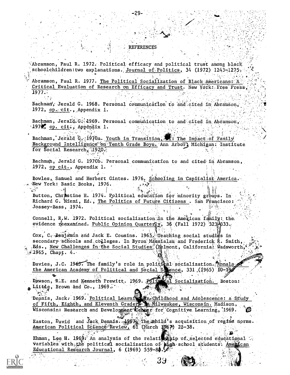### **REFERENCES**

Abramson, Paul R. 1972. Political efficacy and political trust among black schoolchildren: two explanations. Journal of Politics, 34 (1972) 1243-1275.

Abramson, Paul R. 1977. The Political Socialization of Black Americans: A Critical Evaluation of Research on Efficacy and Trust. New York: Free Press, 1977.

Bachman, Jerald G. 1968. Personal communication to and cited in Abramson, 1972, op. cit., Appendix 1.

Bachman, Jerald G. 1969. Personal communication to and cited in Abramson, 1974, op. cit., Appendix 1.

Bachman, Jerald G. 1970a. Youth in Transition, The Impact of Family Background Intelligence on Tenth Grade Boys. Ann Arbor, Michigan: Institute for Social Research, 1970.

Bachman, Jerald G. 1970b. Personal communication to and cited in Abramson, 1972, op cit., Appendix 1.

Bowles, Samuel and Herbert Gintes. 1976. Schooling in Capitalist America. New York: Basic Books, 1976.

Button, Christine H. 1974. Political education for minority groups. In Richard G. Niemi, Ed., The Politics of Future Citizens . San Francisco: Jossey-Bass, 1974.

Connell, R.W. 1972. Political socialization in the American family: the evidence reexamined. Public Opinion Quarter 1y, 36 (Fall 1972) 323-333.

Cox, C. Benjamin and Jack E. Cousins. 1965. Teaching social studies in secondary schools and colleges. In Byron Massialas and Frederick R. Smith, Eds., New Challenges in the Social Studies (Belmont, California: Wadsworth,  $1965$ , Chapt. 4.

Davies, J.C. 1965. The family's role in political socialization. Annals the American Academy of Political and Social Scence, 331 (1965) 10-19

Dawson, R.E. and Kenneth Prewitt. 1969. Polis al Socialization. Boston: Little, Brown and Co., 1969.

Dennis, Jack. 1969. Political Learnis and Childhood and Adolescence: a Study of Fifth, Eighth, and Eleventh Graders 18. Milwaukee, Wisconsin. Madison, Wisconsin: Research and Development Center for Cognitive Learning, 1969.

Easton, David and Jack Dennis. 1967. The ahild's acquisition of regime norms. American Political Science Review, 61 (March 1967) 25-38.

Ehman, Lee H. 1969. An analysis of the relationship of selected educational . variables with the political socialization of pigh school students. American Educational Research Journal, 6 (1969) 559-80.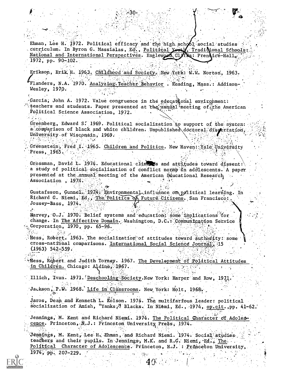Ehman, Lee H. 1972. Political efficacy and the high school social studies curriculum. In Byron G. Massialas, Ed., Political Youth, Tradidional Schools: National and International Perspectives. Englework Clifts: Prentice-Hall, 1972, pp. 90-102.

Erikson, Erik H. 1963. Childhood and Society. New York: W.W. Norton, 1963. Flanders, N.A. 1970. Analyzing Teacher Behavior . Keading, Mass.: Addison-Wesley, 1970.

Garcia, John A. 1972. Value congruence in the educat onal environment: peachers and students. Paper presented at the annual meeting of the American Political Science Association, 1972.

Greenberg, Edward S. 1969. Political socialization to support of the system: a comparison of black and white children. Unpublished doctoral disgertation, University of Wisconsin, 1969.

Greenstein, Fred I. 1965. Children and Politics. New Haven: Yale University Press, 1965.

Grossman, David L. 1974. Educational climates and attitudes toward dissent: a study of political socialization of conflict norms in addlescents. A paper presented at the annual meeting of the American Educational Research Association, 1974.

Gustafsson, Gunnel. 1974. Environmental influence on political learning. In Richard G. Niemi, Ed., The Politics of Future Citizens. San Francisco: Jossey-Bass, 1974.

Harvey, 0.J. 1970. Belief systems and education: some implications for change. In The Affective Domain. Washington, D.C.: Communication Service Corporation, 1970, pp. 65-96.

Hess, Robert. 1963. The socialization of attitudes toward authority: some cross-national comparisons. International Social Science Journal, 15  $(1963) 542 - 559.$ 

Ress, Robert and Judith Torney. 1967. The Development of Political Attitudes in Children. Chicago: Aldine, 1967.

Illich, Ivan. 1971. Deschooling Society. New York: Harper and Row, 1971.

Jackson, P.W. 1968. Life in Classrooms. New York: Holt, 1968.

Jaros, Dean and Kenneth L. Kolson. 1974. The multifarious leader: political socialization of Amish, "Yanks," Blacks. In Niemi, Ed., 1974, op.cit., pp. 41-62.

Jennings, M. Kent and Richard Niemi. 1974. The Political Character of Adolescence. Princeton, N.J.: Princeton University Press, 1974.

Jennings, M. Kent, Lee H. Ehman, and Richard Niemi. 1974. Social studies, teachers and their pupils. In Jennings, M.K. and R.G. Niemi, Ed., The. Political Character of Adolescence. Princeton, N.J. : Princeton University, 1974, pp. 207-229.

ilian a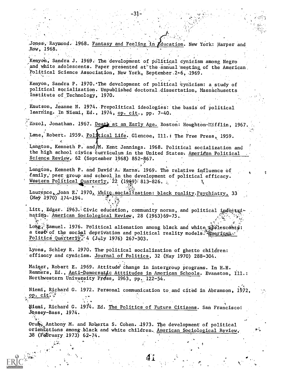Jones, Raymond. 1968. Fantasy and Feeling in *L*ducation. New York: Harper and Row, 1968.

Kenyon, Sandra J. 1969. The development of political cynicism among Negro and white adolescents. Paper presented at the annual meeting of the American Political Science Association, New York, September 2-6, 1969.

Kenyon, Sandra P. 1970. The development of political cynicism: a study of political socialization. Unpublished doctoral dissertation, Massachusetts Institute of Technology, 1970.

Knutson, Jeanne N. 1974. Prepolitical ideologies: the basis of political learning. In Niemi, Ed., 1974, op. cit., pp. 7-40.

Kozol, Jonathan. 1967. <u>Death at an Early Age.</u> Boston: Houghton-Mifflin, 1967.

Lane, Robert. 1959. Political Life. Glencoe, Ill.: The Free Press, 1959.

Langton, Kenneth P. and/M. Kent Jennings. 1968. Political socialization and the high school civics curriculum in the United States. American Political Science Review, 62 (September 1968) 852-867.

Langton, Kenneth P. and David A. Karns. 1969. The relative influence of family, peer group and school in the development of political efficacy. Western Political Quarterly, 22 (1969) 813-826.

Laurence, Joan E. 1970, White socialization: black reality. Psychiatry, 33  $(May 1970) 174-194.$ 

Litt, Edgar. 1963. Civic education, community norms, and political indoctsination. American Sociological Review, 28 (1963) 69-75.

Long, Samuel. 1976. Political alienation among black and white adolescents: a test of the social deprivation and political reality models. American Politics Quarterly, 4 (July 1976) 267-303.

Lyons, Schley R. 1970. The political socialization of ghetto children: efficacy and cynicism. Journal of Politics, 32 (May 1970) 288-304.

Mainer, Robert E. 1969. Attitude change in intergroup programs. In H.H. Remmers, Ed., Anti-Democratic Atttitudes in American Schools. Evanston, Ill.: Northwestern University Press, 1963, pp. 122-54.

Niemi, Richard G. 1972. Personal communication to and cited in Abramson, 1972, op. cit.

Niemi, Richard G. 1974. Ed. The Politics of Future Citizens. San Francisco: Jossey-Bass, 1974.

Orum, Anthony M. and Roberta S. Cohen. 1973. The development of political orientations among black and white children. American Sociological Review, 38 (February 1973) 62-74.